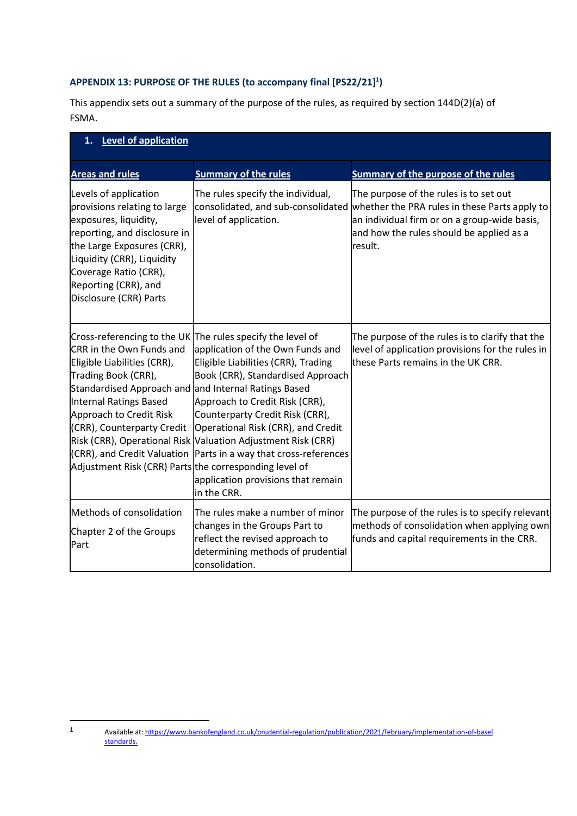## **APPENDIX 13: PURPOSE OF THE RULES (to accompany final [PS22/21] 1 )**

This appendix sets out a summary of the purpose of the rules, as required by section 144D(2)(a) of FSMA.

| 1. Level of application                                                                                                                                                                                                                                                             |                                                                                                                                                                                                                                                                                                                                                                                                                                                                                |                                                                                                                                                                                                |
|-------------------------------------------------------------------------------------------------------------------------------------------------------------------------------------------------------------------------------------------------------------------------------------|--------------------------------------------------------------------------------------------------------------------------------------------------------------------------------------------------------------------------------------------------------------------------------------------------------------------------------------------------------------------------------------------------------------------------------------------------------------------------------|------------------------------------------------------------------------------------------------------------------------------------------------------------------------------------------------|
| <b>Areas and rules</b>                                                                                                                                                                                                                                                              | <b>Summary of the rules</b>                                                                                                                                                                                                                                                                                                                                                                                                                                                    | <b>Summary of the purpose of the rules</b>                                                                                                                                                     |
| Levels of application<br>provisions relating to large<br>exposures, liquidity,<br>reporting, and disclosure in<br>the Large Exposures (CRR),<br>Liquidity (CRR), Liquidity<br>Coverage Ratio (CRR),<br>Reporting (CRR), and<br>Disclosure (CRR) Parts                               | The rules specify the individual,<br>consolidated, and sub-consolidated<br>level of application.                                                                                                                                                                                                                                                                                                                                                                               | The purpose of the rules is to set out<br>whether the PRA rules in these Parts apply to<br>an individual firm or on a group-wide basis,<br>and how the rules should be applied as a<br>result. |
| CRR in the Own Funds and<br>Eligible Liabilities (CRR),<br>Trading Book (CRR),<br>Standardised Approach and and Internal Ratings Based<br>Internal Ratings Based<br>Approach to Credit Risk<br>(CRR), Counterparty Credit<br>Adjustment Risk (CRR) Parts the corresponding level of | Cross-referencing to the UK The rules specify the level of<br>application of the Own Funds and<br>Eligible Liabilities (CRR), Trading<br>Book (CRR), Standardised Approach<br>Approach to Credit Risk (CRR),<br>Counterparty Credit Risk (CRR),<br>Operational Risk (CRR), and Credit<br>Risk (CRR), Operational Risk Valuation Adjustment Risk (CRR)<br>(CRR), and Credit Valuation Parts in a way that cross-references<br>application provisions that remain<br>in the CRR. | The purpose of the rules is to clarify that the<br>level of application provisions for the rules in<br>these Parts remains in the UK CRR.                                                      |
| Methods of consolidation<br>Chapter 2 of the Groups<br>Part                                                                                                                                                                                                                         | The rules make a number of minor<br>changes in the Groups Part to<br>reflect the revised approach to<br>determining methods of prudential<br>consolidation.                                                                                                                                                                                                                                                                                                                    | The purpose of the rules is to specify relevant<br>methods of consolidation when applying own<br>funds and capital requirements in the CRR.                                                    |

 $\mathbf{1}$ Available at: [https://www.bankofengland.co.uk/prudential-regulation/publication/2021/february/implementation-of-basel](https://www.bankofengland.co.uk/prudential-regulation/publication/2021/february/implementation-of-basel%09standards) [standards.](https://www.bankofengland.co.uk/prudential-regulation/publication/2021/february/implementation-of-basel%09standards)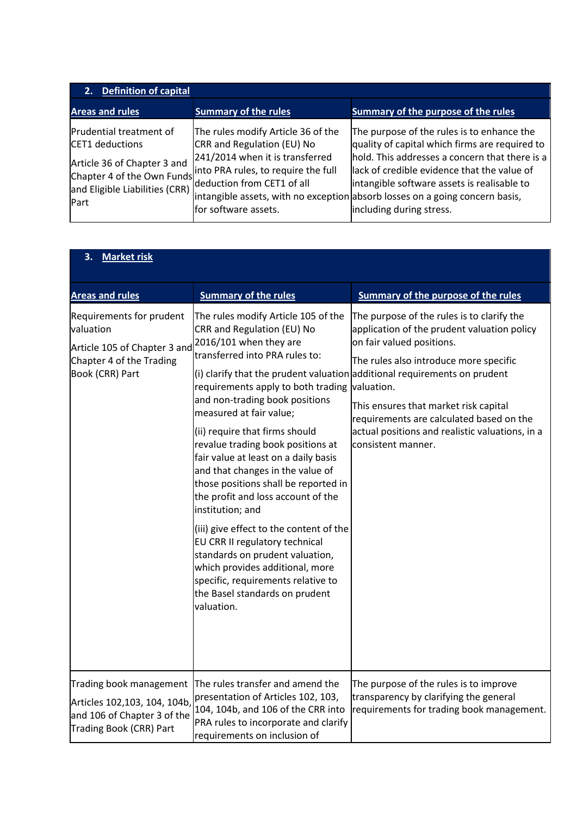| 2. Definition of capital                                                          |                                                                                                                                                                                                                                                            |                                                                                                                                                                                                                                                                                                                                                          |
|-----------------------------------------------------------------------------------|------------------------------------------------------------------------------------------------------------------------------------------------------------------------------------------------------------------------------------------------------------|----------------------------------------------------------------------------------------------------------------------------------------------------------------------------------------------------------------------------------------------------------------------------------------------------------------------------------------------------------|
| <b>Areas and rules</b>                                                            | <b>Summary of the rules</b>                                                                                                                                                                                                                                | Summary of the purpose of the rules                                                                                                                                                                                                                                                                                                                      |
| Prudential treatment of<br>CET1 deductions<br>Article 36 of Chapter 3 and<br>Part | The rules modify Article 36 of the<br>CRR and Regulation (EU) No<br>241/2014 when it is transferred<br>Chapter 4 of the Own Funds into PRA rules, to require the full<br>and Eligible Liabilities (CRR) deduction from CET1 of all<br>for software assets. | The purpose of the rules is to enhance the<br>quality of capital which firms are required to<br>hold. This addresses a concern that there is a<br>lack of credible evidence that the value of<br>intangible software assets is realisable to<br>intangible assets, with no exception absorb losses on a going concern basis,<br>including during stress. |

| <b>Market risk</b><br>3.                                                                                             |                                                                                                                                                                                                                                                                                                                                                                                                                                                                                                                                                                                                                                                                                                                                           |                                                                                                                                                                                                                                                                                                                                                                                                             |
|----------------------------------------------------------------------------------------------------------------------|-------------------------------------------------------------------------------------------------------------------------------------------------------------------------------------------------------------------------------------------------------------------------------------------------------------------------------------------------------------------------------------------------------------------------------------------------------------------------------------------------------------------------------------------------------------------------------------------------------------------------------------------------------------------------------------------------------------------------------------------|-------------------------------------------------------------------------------------------------------------------------------------------------------------------------------------------------------------------------------------------------------------------------------------------------------------------------------------------------------------------------------------------------------------|
| <b>Areas and rules</b>                                                                                               | <b>Summary of the rules</b>                                                                                                                                                                                                                                                                                                                                                                                                                                                                                                                                                                                                                                                                                                               | <b>Summary of the purpose of the rules</b>                                                                                                                                                                                                                                                                                                                                                                  |
| Requirements for prudent<br>valuation<br>Article 105 of Chapter 3 and<br>Chapter 4 of the Trading<br>Book (CRR) Part | The rules modify Article 105 of the<br>CRR and Regulation (EU) No<br>2016/101 when they are<br>transferred into PRA rules to:<br>requirements apply to both trading valuation.<br>and non-trading book positions<br>measured at fair value;<br>(ii) require that firms should<br>revalue trading book positions at<br>fair value at least on a daily basis<br>and that changes in the value of<br>those positions shall be reported in<br>the profit and loss account of the<br>institution; and<br>(iii) give effect to the content of the<br>EU CRR II regulatory technical<br>standards on prudent valuation,<br>which provides additional, more<br>specific, requirements relative to<br>the Basel standards on prudent<br>valuation. | The purpose of the rules is to clarify the<br>application of the prudent valuation policy<br>on fair valued positions.<br>The rules also introduce more specific<br>(i) clarify that the prudent valuation additional requirements on prudent<br>This ensures that market risk capital<br>requirements are calculated based on the<br>actual positions and realistic valuations, in a<br>consistent manner. |
| Trading book management<br>Articles 102,103, 104, 104b,<br>and 106 of Chapter 3 of the<br>Trading Book (CRR) Part    | The rules transfer and amend the<br>presentation of Articles 102, 103,<br>104, 104b, and 106 of the CRR into<br>PRA rules to incorporate and clarify<br>requirements on inclusion of                                                                                                                                                                                                                                                                                                                                                                                                                                                                                                                                                      | The purpose of the rules is to improve<br>transparency by clarifying the general<br>requirements for trading book management.                                                                                                                                                                                                                                                                               |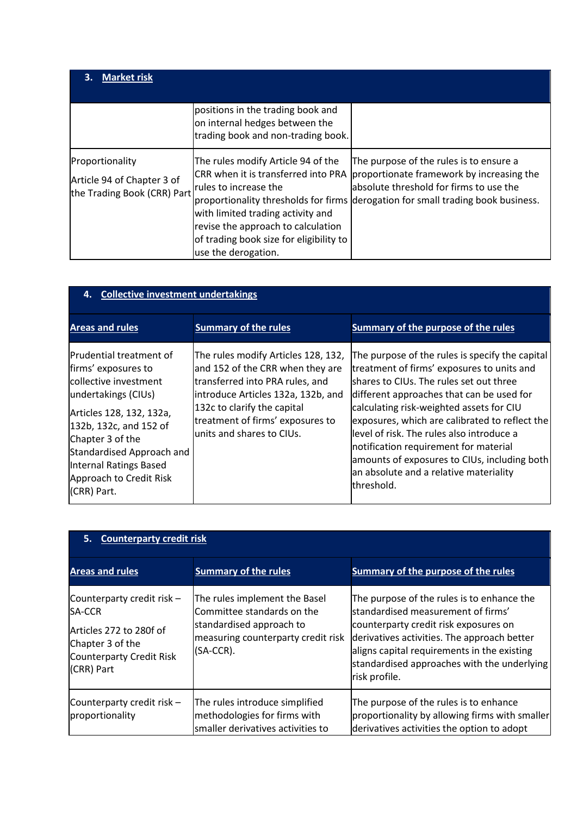| <b>Market risk</b><br>З.                                                     |                                                                                                                                                                                                                                                 |                                                                                                                                                                                                                     |
|------------------------------------------------------------------------------|-------------------------------------------------------------------------------------------------------------------------------------------------------------------------------------------------------------------------------------------------|---------------------------------------------------------------------------------------------------------------------------------------------------------------------------------------------------------------------|
|                                                                              | positions in the trading book and<br>on internal hedges between the<br>trading book and non-trading book.                                                                                                                                       |                                                                                                                                                                                                                     |
| Proportionality<br>Article 94 of Chapter 3 of<br>the Trading Book (CRR) Part | The rules modify Article 94 of the<br>CRR when it is transferred into PRA<br>rules to increase the<br>with limited trading activity and<br>revise the approach to calculation<br>of trading book size for eligibility to<br>use the derogation. | The purpose of the rules is to ensure a<br>proportionate framework by increasing the<br>absolute threshold for firms to use the<br>proportionality thresholds for firms derogation for small trading book business. |

| 4. Collective investment undertakings                                                                                                                                                                                                                                            |                                                                                                                                                                                                                                                   |                                                                                                                                                                                                                                                                                                                                                                                                                                                                                      |
|----------------------------------------------------------------------------------------------------------------------------------------------------------------------------------------------------------------------------------------------------------------------------------|---------------------------------------------------------------------------------------------------------------------------------------------------------------------------------------------------------------------------------------------------|--------------------------------------------------------------------------------------------------------------------------------------------------------------------------------------------------------------------------------------------------------------------------------------------------------------------------------------------------------------------------------------------------------------------------------------------------------------------------------------|
| <b>Areas and rules</b>                                                                                                                                                                                                                                                           | <b>Summary of the rules</b>                                                                                                                                                                                                                       | Summary of the purpose of the rules                                                                                                                                                                                                                                                                                                                                                                                                                                                  |
| <b>Prudential treatment of</b><br>firms' exposures to<br>collective investment<br>undertakings (CIUs)<br>Articles 128, 132, 132a,<br>132b, 132c, and 152 of<br>Chapter 3 of the<br>Standardised Approach and<br>Internal Ratings Based<br>Approach to Credit Risk<br>(CRR) Part. | The rules modify Articles 128, 132,<br>and 152 of the CRR when they are<br>transferred into PRA rules, and<br>introduce Articles 132a, 132b, and<br>132c to clarify the capital<br>treatment of firms' exposures to<br>lunits and shares to CIUs. | The purpose of the rules is specify the capital<br>treatment of firms' exposures to units and<br>lshares to CIUs. The rules set out three<br>different approaches that can be used for<br>calculating risk-weighted assets for CIU<br>exposures, which are calibrated to reflect the<br>llevel of risk. The rules also introduce a<br>notification requirement for material<br>amounts of exposures to CIUs, including both<br>an absolute and a relative materiality<br>lthreshold. |

| 5. Counterparty credit risk                                                                                                                 |                                                                                                                                               |                                                                                                                                                                                                                                                                                         |
|---------------------------------------------------------------------------------------------------------------------------------------------|-----------------------------------------------------------------------------------------------------------------------------------------------|-----------------------------------------------------------------------------------------------------------------------------------------------------------------------------------------------------------------------------------------------------------------------------------------|
| <b>Areas and rules</b>                                                                                                                      | <b>Summary of the rules</b>                                                                                                                   | Summary of the purpose of the rules                                                                                                                                                                                                                                                     |
| Counterparty credit risk -<br><b>SA-CCR</b><br>Articles 272 to 280f of<br>Chapter 3 of the<br><b>Counterparty Credit Risk</b><br>(CRR) Part | The rules implement the Basel<br>Committee standards on the<br>standardised approach to<br>measuring counterparty credit risk<br>$(SA-CCR)$ . | The purpose of the rules is to enhance the<br>standardised measurement of firms'<br>counterparty credit risk exposures on<br>derivatives activities. The approach better<br>aligns capital requirements in the existing<br>standardised approaches with the underlying<br>risk profile. |
| Counterparty credit risk -<br>proportionality                                                                                               | The rules introduce simplified<br>methodologies for firms with<br>smaller derivatives activities to                                           | The purpose of the rules is to enhance<br>proportionality by allowing firms with smaller<br>derivatives activities the option to adopt                                                                                                                                                  |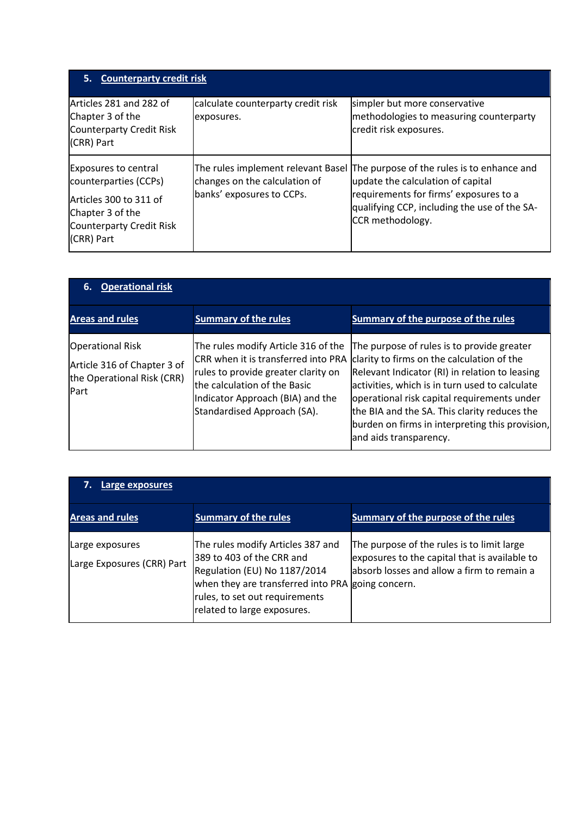| 5. Counterparty credit risk                                                                                                           |                                                                                                  |                                                                                                                                                                                               |
|---------------------------------------------------------------------------------------------------------------------------------------|--------------------------------------------------------------------------------------------------|-----------------------------------------------------------------------------------------------------------------------------------------------------------------------------------------------|
| Articles 281 and 282 of<br>Chapter 3 of the<br>Counterparty Credit Risk<br>(CRR) Part                                                 | calculate counterparty credit risk<br>exposures.                                                 | simpler but more conservative<br>methodologies to measuring counterparty<br>credit risk exposures.                                                                                            |
| Exposures to central<br>counterparties (CCPs)<br>Articles 300 to 311 of<br>Chapter 3 of the<br>Counterparty Credit Risk<br>(CRR) Part | The rules implement relevant Basel<br>changes on the calculation of<br>banks' exposures to CCPs. | The purpose of the rules is to enhance and<br>update the calculation of capital<br>requirements for firms' exposures to a<br>qualifying CCP, including the use of the SA-<br>CCR methodology. |

| <b>Operational risk</b><br>6.                                                                |                                                                                                                                                                                                                      |                                                                                                                                                                                                                                                                                                                                                                          |
|----------------------------------------------------------------------------------------------|----------------------------------------------------------------------------------------------------------------------------------------------------------------------------------------------------------------------|--------------------------------------------------------------------------------------------------------------------------------------------------------------------------------------------------------------------------------------------------------------------------------------------------------------------------------------------------------------------------|
| <b>Areas and rules</b>                                                                       | <b>Summary of the rules</b>                                                                                                                                                                                          | Summary of the purpose of the rules                                                                                                                                                                                                                                                                                                                                      |
| <b>Operational Risk</b><br>Article 316 of Chapter 3 of<br>the Operational Risk (CRR)<br>Part | The rules modify Article 316 of the<br>CRR when it is transferred into PRA<br>rules to provide greater clarity on<br>the calculation of the Basic<br>Indicator Approach (BIA) and the<br>Standardised Approach (SA). | The purpose of rules is to provide greater<br>clarity to firms on the calculation of the<br>Relevant Indicator (RI) in relation to leasing<br>activities, which is in turn used to calculate<br>operational risk capital requirements under<br>the BIA and the SA. This clarity reduces the<br>burden on firms in interpreting this provision,<br>and aids transparency. |

| Large exposures                               |                                                                                                                                                                                                                      |                                                                                                                                           |
|-----------------------------------------------|----------------------------------------------------------------------------------------------------------------------------------------------------------------------------------------------------------------------|-------------------------------------------------------------------------------------------------------------------------------------------|
| <b>Areas and rules</b>                        | <b>Summary of the rules</b>                                                                                                                                                                                          | Summary of the purpose of the rules                                                                                                       |
| Large exposures<br>Large Exposures (CRR) Part | The rules modify Articles 387 and<br>389 to 403 of the CRR and<br>Regulation (EU) No 1187/2014<br>when they are transferred into PRA going concern.<br>rules, to set out requirements<br>related to large exposures. | The purpose of the rules is to limit large<br>exposures to the capital that is available to<br>absorb losses and allow a firm to remain a |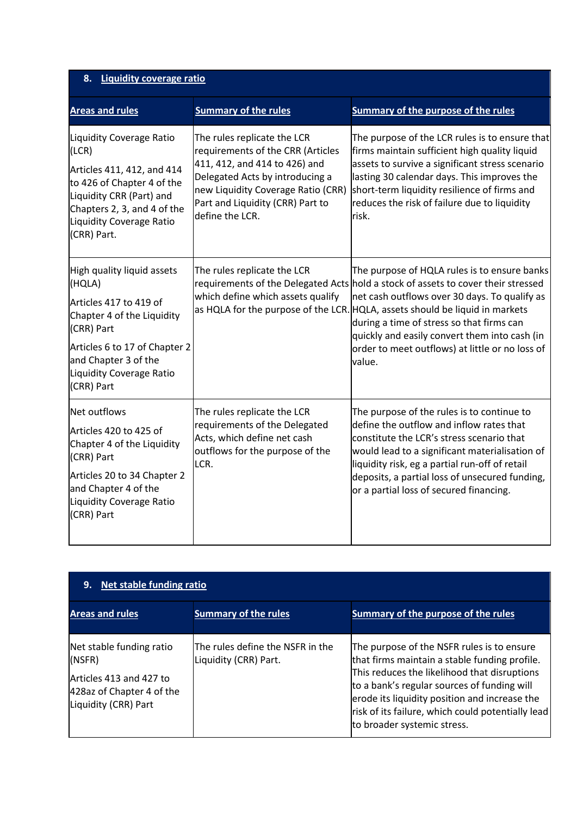| 8. Liquidity coverage ratio                                                                                                                                                                         |                                                                                                                                                                                                                                   |                                                                                                                                                                                                                                                                                                                                                                                                                               |
|-----------------------------------------------------------------------------------------------------------------------------------------------------------------------------------------------------|-----------------------------------------------------------------------------------------------------------------------------------------------------------------------------------------------------------------------------------|-------------------------------------------------------------------------------------------------------------------------------------------------------------------------------------------------------------------------------------------------------------------------------------------------------------------------------------------------------------------------------------------------------------------------------|
| <b>Areas and rules</b>                                                                                                                                                                              | <b>Summary of the rules</b>                                                                                                                                                                                                       | <b>Summary of the purpose of the rules</b>                                                                                                                                                                                                                                                                                                                                                                                    |
| Liquidity Coverage Ratio<br>(LCR)<br>Articles 411, 412, and 414<br>to 426 of Chapter 4 of the<br>Liquidity CRR (Part) and<br>Chapters 2, 3, and 4 of the<br>Liquidity Coverage Ratio<br>(CRR) Part. | The rules replicate the LCR<br>requirements of the CRR (Articles<br>411, 412, and 414 to 426) and<br>Delegated Acts by introducing a<br>new Liquidity Coverage Ratio (CRR)<br>Part and Liquidity (CRR) Part to<br>define the LCR. | The purpose of the LCR rules is to ensure that<br>firms maintain sufficient high quality liquid<br>assets to survive a significant stress scenario<br>lasting 30 calendar days. This improves the<br>short-term liquidity resilience of firms and<br>reduces the risk of failure due to liquidity<br>risk.                                                                                                                    |
| High quality liquid assets<br>(HQLA)                                                                                                                                                                | The rules replicate the LCR<br>which define which assets qualify                                                                                                                                                                  | The purpose of HQLA rules is to ensure banks<br>requirements of the Delegated Acts hold a stock of assets to cover their stressed<br>net cash outflows over 30 days. To qualify as<br>as HQLA for the purpose of the LCR. HQLA, assets should be liquid in markets<br>during a time of stress so that firms can<br>quickly and easily convert them into cash (in<br>order to meet outflows) at little or no loss of<br>value. |
| Articles 417 to 419 of<br>Chapter 4 of the Liquidity<br>(CRR) Part                                                                                                                                  |                                                                                                                                                                                                                                   |                                                                                                                                                                                                                                                                                                                                                                                                                               |
| Articles 6 to 17 of Chapter 2<br>and Chapter 3 of the<br>Liquidity Coverage Ratio<br>(CRR) Part                                                                                                     |                                                                                                                                                                                                                                   |                                                                                                                                                                                                                                                                                                                                                                                                                               |
| Net outflows                                                                                                                                                                                        | The rules replicate the LCR<br>requirements of the Delegated<br>Acts, which define net cash<br>outflows for the purpose of the<br>LCR.                                                                                            | The purpose of the rules is to continue to<br>define the outflow and inflow rates that<br>constitute the LCR's stress scenario that<br>would lead to a significant materialisation of<br>liquidity risk, eg a partial run-off of retail<br>deposits, a partial loss of unsecured funding,<br>or a partial loss of secured financing.                                                                                          |
| Articles 420 to 425 of<br>Chapter 4 of the Liquidity<br>(CRR) Part                                                                                                                                  |                                                                                                                                                                                                                                   |                                                                                                                                                                                                                                                                                                                                                                                                                               |
| Articles 20 to 34 Chapter 2<br>and Chapter 4 of the<br>Liquidity Coverage Ratio<br>(CRR) Part                                                                                                       |                                                                                                                                                                                                                                   |                                                                                                                                                                                                                                                                                                                                                                                                                               |

| Net stable funding ratio<br>9.                                                                                     |                                                           |                                                                                                                                                                                                                                                                                                                                 |
|--------------------------------------------------------------------------------------------------------------------|-----------------------------------------------------------|---------------------------------------------------------------------------------------------------------------------------------------------------------------------------------------------------------------------------------------------------------------------------------------------------------------------------------|
| <b>Areas and rules</b>                                                                                             | <b>Summary of the rules</b>                               | Summary of the purpose of the rules                                                                                                                                                                                                                                                                                             |
| Net stable funding ratio<br>(NSFR)<br>Articles 413 and 427 to<br>428az of Chapter 4 of the<br>Liquidity (CRR) Part | The rules define the NSFR in the<br>Liquidity (CRR) Part. | The purpose of the NSFR rules is to ensure<br>that firms maintain a stable funding profile.<br>This reduces the likelihood that disruptions<br>to a bank's regular sources of funding will<br>erode its liquidity position and increase the<br>risk of its failure, which could potentially lead<br>to broader systemic stress. |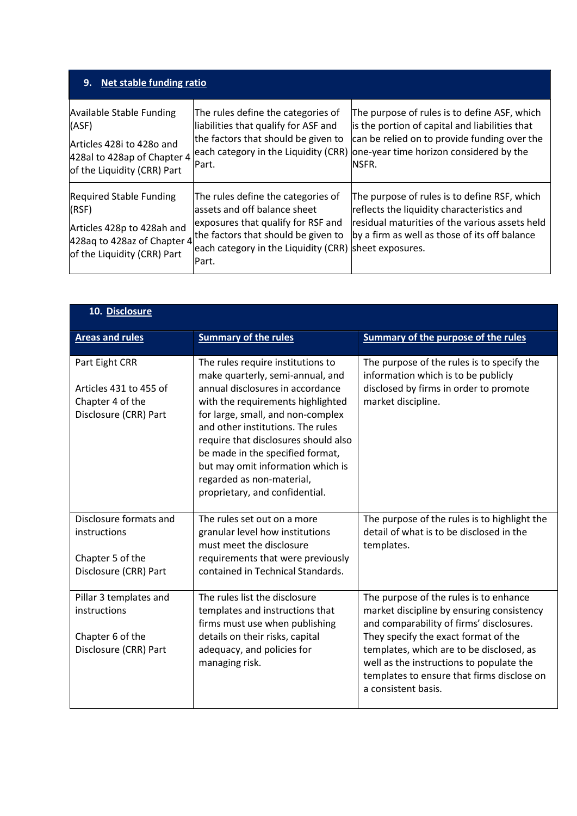| 9.<br>Net stable funding ratio                                                                                                      |                                                                                                                                                                                                                                                |                                                                                                                                                                                                    |
|-------------------------------------------------------------------------------------------------------------------------------------|------------------------------------------------------------------------------------------------------------------------------------------------------------------------------------------------------------------------------------------------|----------------------------------------------------------------------------------------------------------------------------------------------------------------------------------------------------|
| <b>Available Stable Funding</b><br>(ASF)<br>Articles 428i to 428o and<br>428al to 428ap of Chapter 4<br>of the Liquidity (CRR) Part | The rules define the categories of<br>liabilities that qualify for ASF and<br>the factors that should be given to<br>each category in the Liquidity (CRR)<br>IPart.                                                                            | The purpose of rules is to define ASF, which<br>is the portion of capital and liabilities that<br>can be relied on to provide funding over the<br>one-year time horizon considered by the<br>NSFR. |
| <b>Required Stable Funding</b><br>(RSF)<br>Articles 428p to 428ah and<br>of the Liquidity (CRR) Part                                | The rules define the categories of<br>lassets and off balance sheet<br>exposures that qualify for RSF and<br>428aq to 428az of Chapter 4 the factors that should be given to<br>each category in the Liquidity (CRR) sheet exposures.<br>Part. | The purpose of rules is to define RSF, which<br>reflects the liquidity characteristics and<br>residual maturities of the various assets held<br>by a firm as well as those of its off balance      |

| 10. Disclosure                                                                        |                                                                                                                                                                                                                                                                                                                                                                                                          |                                                                                                                                                                                                                                                                                                                                      |  |  |
|---------------------------------------------------------------------------------------|----------------------------------------------------------------------------------------------------------------------------------------------------------------------------------------------------------------------------------------------------------------------------------------------------------------------------------------------------------------------------------------------------------|--------------------------------------------------------------------------------------------------------------------------------------------------------------------------------------------------------------------------------------------------------------------------------------------------------------------------------------|--|--|
| <b>Areas and rules</b>                                                                | <b>Summary of the rules</b>                                                                                                                                                                                                                                                                                                                                                                              | <b>Summary of the purpose of the rules</b>                                                                                                                                                                                                                                                                                           |  |  |
| Part Eight CRR<br>Articles 431 to 455 of<br>Chapter 4 of the<br>Disclosure (CRR) Part | The rules require institutions to<br>make quarterly, semi-annual, and<br>annual disclosures in accordance<br>with the requirements highlighted<br>for large, small, and non-complex<br>and other institutions. The rules<br>require that disclosures should also<br>be made in the specified format,<br>but may omit information which is<br>regarded as non-material,<br>proprietary, and confidential. | The purpose of the rules is to specify the<br>information which is to be publicly<br>disclosed by firms in order to promote<br>market discipline.                                                                                                                                                                                    |  |  |
| Disclosure formats and<br>instructions<br>Chapter 5 of the<br>Disclosure (CRR) Part   | The rules set out on a more<br>granular level how institutions<br>must meet the disclosure<br>requirements that were previously<br>contained in Technical Standards.                                                                                                                                                                                                                                     | The purpose of the rules is to highlight the<br>detail of what is to be disclosed in the<br>templates.                                                                                                                                                                                                                               |  |  |
| Pillar 3 templates and<br>instructions<br>Chapter 6 of the<br>Disclosure (CRR) Part   | The rules list the disclosure<br>templates and instructions that<br>firms must use when publishing<br>details on their risks, capital<br>adequacy, and policies for<br>managing risk.                                                                                                                                                                                                                    | The purpose of the rules is to enhance<br>market discipline by ensuring consistency<br>and comparability of firms' disclosures.<br>They specify the exact format of the<br>templates, which are to be disclosed, as<br>well as the instructions to populate the<br>templates to ensure that firms disclose on<br>a consistent basis. |  |  |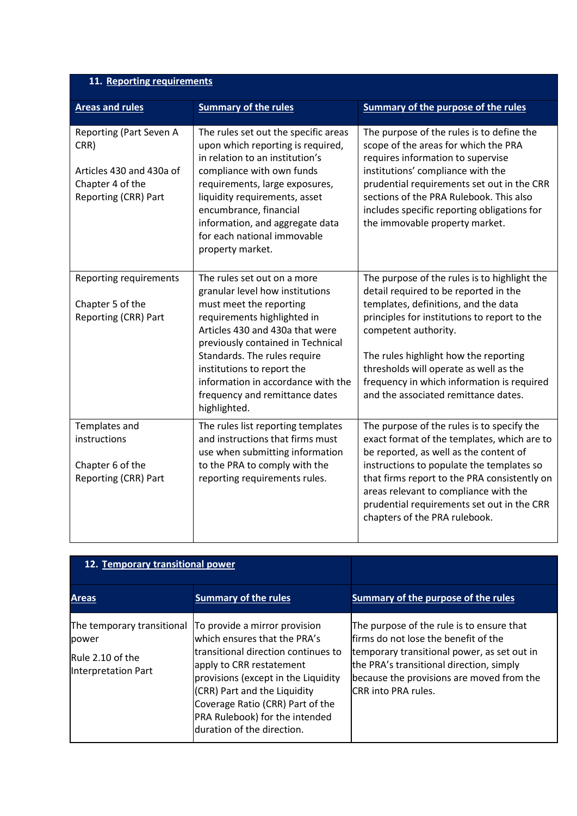## **11. Reporting requirements**

| <b>Areas and rules</b>                                                                                  | <b>Summary of the rules</b>                                                                                                                                                                                                                                                                              | Summary of the purpose of the rules                                                                                                                                                                                                                                                                                                   |  |  |
|---------------------------------------------------------------------------------------------------------|----------------------------------------------------------------------------------------------------------------------------------------------------------------------------------------------------------------------------------------------------------------------------------------------------------|---------------------------------------------------------------------------------------------------------------------------------------------------------------------------------------------------------------------------------------------------------------------------------------------------------------------------------------|--|--|
| Reporting (Part Seven A<br>CRR)<br>Articles 430 and 430a of<br>Chapter 4 of the<br>Reporting (CRR) Part | The rules set out the specific areas<br>upon which reporting is required,<br>in relation to an institution's<br>compliance with own funds<br>requirements, large exposures,<br>liquidity requirements, asset<br>encumbrance, financial<br>information, and aggregate data<br>for each national immovable | The purpose of the rules is to define the<br>scope of the areas for which the PRA<br>requires information to supervise<br>institutions' compliance with the<br>prudential requirements set out in the CRR<br>sections of the PRA Rulebook. This also<br>includes specific reporting obligations for<br>the immovable property market. |  |  |
|                                                                                                         | property market.                                                                                                                                                                                                                                                                                         |                                                                                                                                                                                                                                                                                                                                       |  |  |
| Reporting requirements                                                                                  | The rules set out on a more<br>granular level how institutions                                                                                                                                                                                                                                           | The purpose of the rules is to highlight the<br>detail required to be reported in the                                                                                                                                                                                                                                                 |  |  |
| Chapter 5 of the                                                                                        | must meet the reporting                                                                                                                                                                                                                                                                                  | templates, definitions, and the data                                                                                                                                                                                                                                                                                                  |  |  |
| Reporting (CRR) Part                                                                                    | requirements highlighted in<br>Articles 430 and 430a that were<br>previously contained in Technical                                                                                                                                                                                                      | principles for institutions to report to the<br>competent authority.                                                                                                                                                                                                                                                                  |  |  |
|                                                                                                         | Standards. The rules require<br>institutions to report the                                                                                                                                                                                                                                               | The rules highlight how the reporting<br>thresholds will operate as well as the                                                                                                                                                                                                                                                       |  |  |
|                                                                                                         | information in accordance with the<br>frequency and remittance dates<br>highlighted.                                                                                                                                                                                                                     | frequency in which information is required<br>and the associated remittance dates.                                                                                                                                                                                                                                                    |  |  |
| Templates and                                                                                           | The rules list reporting templates                                                                                                                                                                                                                                                                       | The purpose of the rules is to specify the                                                                                                                                                                                                                                                                                            |  |  |
| instructions                                                                                            | and instructions that firms must<br>use when submitting information                                                                                                                                                                                                                                      | exact format of the templates, which are to<br>be reported, as well as the content of                                                                                                                                                                                                                                                 |  |  |
| Chapter 6 of the                                                                                        | to the PRA to comply with the                                                                                                                                                                                                                                                                            | instructions to populate the templates so                                                                                                                                                                                                                                                                                             |  |  |
| Reporting (CRR) Part                                                                                    | reporting requirements rules.                                                                                                                                                                                                                                                                            | that firms report to the PRA consistently on<br>areas relevant to compliance with the<br>prudential requirements set out in the CRR<br>chapters of the PRA rulebook.                                                                                                                                                                  |  |  |

| 12. Temporary transitional power                                               |                                                                                                                                                                                                                                                                                                              |                                                                                                                                                                                                                                                           |
|--------------------------------------------------------------------------------|--------------------------------------------------------------------------------------------------------------------------------------------------------------------------------------------------------------------------------------------------------------------------------------------------------------|-----------------------------------------------------------------------------------------------------------------------------------------------------------------------------------------------------------------------------------------------------------|
| <b>Areas</b>                                                                   | <b>Summary of the rules</b>                                                                                                                                                                                                                                                                                  | Summary of the purpose of the rules                                                                                                                                                                                                                       |
| The temporary transitional<br>power<br>Rule 2.10 of the<br>Interpretation Part | To provide a mirror provision<br>which ensures that the PRA's<br>Itransitional direction continues to<br>apply to CRR restatement<br>provisions (except in the Liquidity<br>(CRR) Part and the Liquidity<br>Coverage Ratio (CRR) Part of the<br>PRA Rulebook) for the intended<br>duration of the direction. | The purpose of the rule is to ensure that<br>lfirms do not lose the benefit of the<br>temporary transitional power, as set out in<br>the PRA's transitional direction, simply<br>because the provisions are moved from the<br><b>ICRR</b> into PRA rules. |